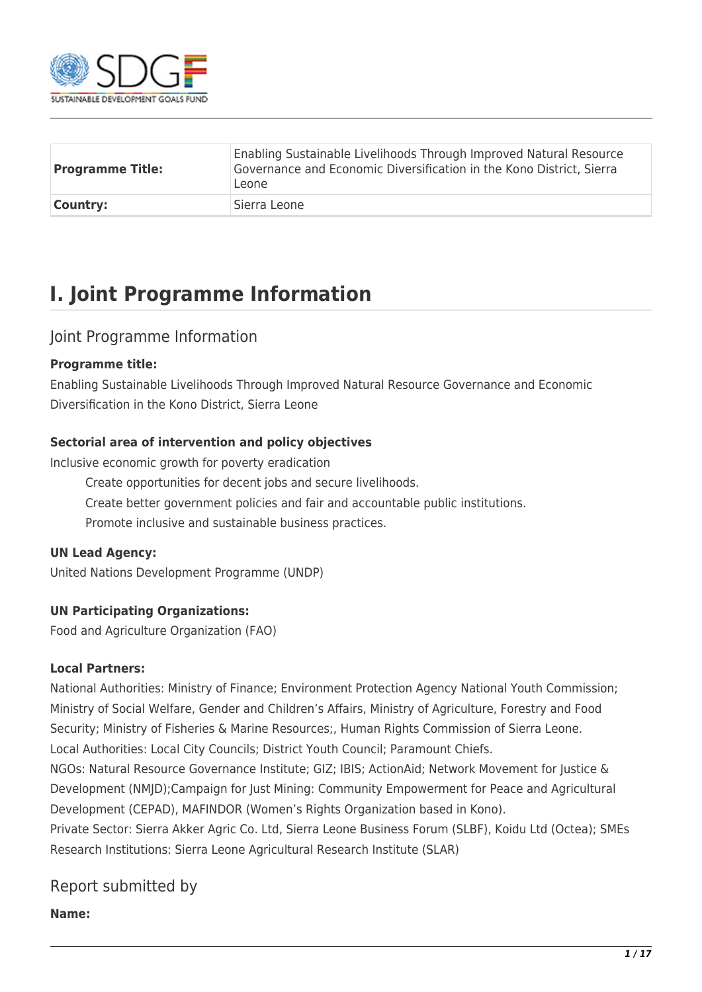

| <b>Programme Title:</b> | Enabling Sustainable Livelihoods Through Improved Natural Resource<br>Governance and Economic Diversification in the Kono District, Sierra<br>Leone |
|-------------------------|-----------------------------------------------------------------------------------------------------------------------------------------------------|
| <b>Country:</b>         | Sierra Leone                                                                                                                                        |

## **I. Joint Programme Information**

#### Joint Programme Information

#### **Programme title:**

Enabling Sustainable Livelihoods Through Improved Natural Resource Governance and Economic Diversification in the Kono District, Sierra Leone

#### **Sectorial area of intervention and policy objectives**

Inclusive economic growth for poverty eradication

Create opportunities for decent jobs and secure livelihoods.

Create better government policies and fair and accountable public institutions.

Promote inclusive and sustainable business practices.

#### **UN Lead Agency:**

United Nations Development Programme (UNDP)

#### **UN Participating Organizations:**

Food and Agriculture Organization (FAO)

#### **Local Partners:**

National Authorities: Ministry of Finance; Environment Protection Agency National Youth Commission; Ministry of Social Welfare, Gender and Children's Affairs, Ministry of Agriculture, Forestry and Food Security; Ministry of Fisheries & Marine Resources;, Human Rights Commission of Sierra Leone. Local Authorities: Local City Councils; District Youth Council; Paramount Chiefs.

NGOs: Natural Resource Governance Institute; GIZ; IBIS; ActionAid; Network Movement for Justice & Development (NMJD);Campaign for Just Mining: Community Empowerment for Peace and Agricultural Development (CEPAD), MAFINDOR (Women's Rights Organization based in Kono).

Private Sector: Sierra Akker Agric Co. Ltd, Sierra Leone Business Forum (SLBF), Koidu Ltd (Octea); SMEs Research Institutions: Sierra Leone Agricultural Research Institute (SLAR)

### Report submitted by

**Name:**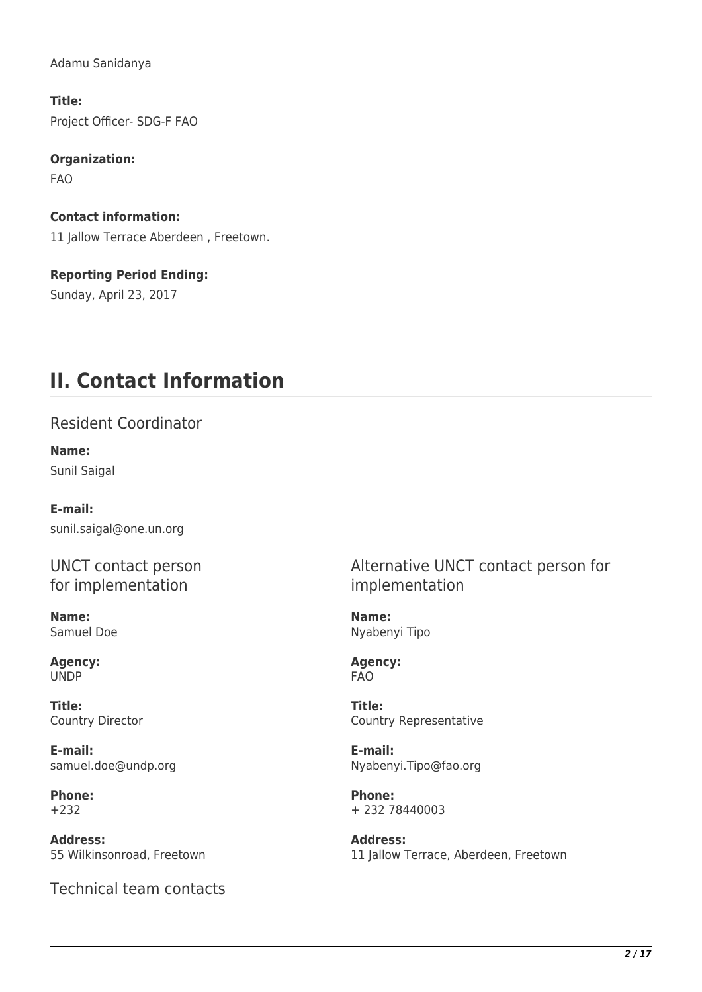Adamu Sanidanya

**Title:**  Project Officer- SDG-F FAO

**Organization:**  FAO

**Contact information:**  11 Jallow Terrace Aberdeen, Freetown.

**Reporting Period Ending:**  Sunday, April 23, 2017

## **II. Contact Information**

Resident Coordinator

**Name:**  Sunil Saigal

**E-mail:**  sunil.saigal@one.un.org

UNCT contact person for implementation

**Name:**  Samuel Doe

**Agency:**  UNDP

**Title:**  Country Director

**E-mail:**  samuel.doe@undp.org

**Phone:**  +232

**Address:**  55 Wilkinsonroad, Freetown

Technical team contacts

Alternative UNCT contact person for implementation

**Name:**  Nyabenyi Tipo

**Agency:**  FAO

**Title:**  Country Representative

**E-mail:**  Nyabenyi.Tipo@fao.org

**Phone:**  + 232 78440003

**Address:**  11 Jallow Terrace, Aberdeen, Freetown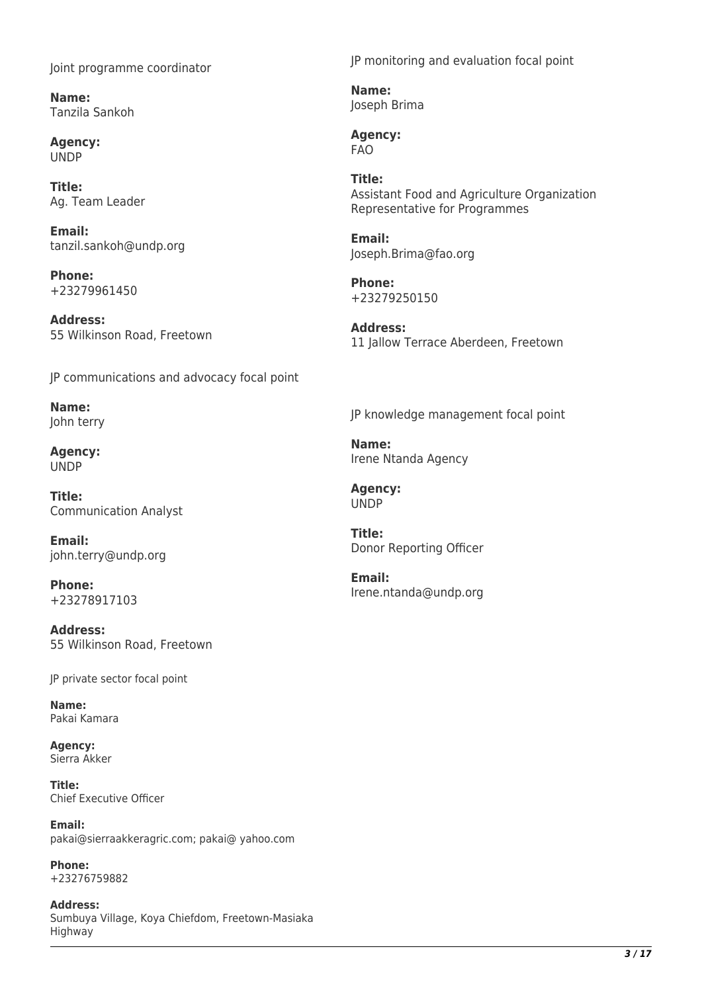Joint programme coordinator

**Name:**  Tanzila Sankoh

**Agency:**  UNDP

**Title:**  Ag. Team Leader

**Email:**  tanzil.sankoh@undp.org

**Phone:**  +23279961450

**Address:**  55 Wilkinson Road, Freetown

JP communications and advocacy focal point

**Name:**  John terry

**Agency:**  UNDP

**Title:**  Communication Analyst

**Email:**  john.terry@undp.org

**Phone:**  +23278917103

**Address:**  55 Wilkinson Road, Freetown

JP private sector focal point

**Name:**  Pakai Kamara

**Agency:**  Sierra Akker

**Title:**  Chief Executive Officer

**Email:**  pakai@sierraakkeragric.com; pakai@ yahoo.com

**Phone:**  +23276759882

**Address:**  Sumbuya Village, Koya Chiefdom, Freetown-Masiaka Highway

JP monitoring and evaluation focal point

**Name:**  Joseph Brima

**Agency:**  FAO

**Title:**  Assistant Food and Agriculture Organization Representative for Programmes

**Email:**  Joseph.Brima@fao.org

**Phone:**  +23279250150

**Address:**  11 Jallow Terrace Aberdeen, Freetown

JP knowledge management focal point

**Name:**  Irene Ntanda Agency

**Agency:**  UNDP

**Title:**  Donor Reporting Officer

**Email:**  Irene.ntanda@undp.org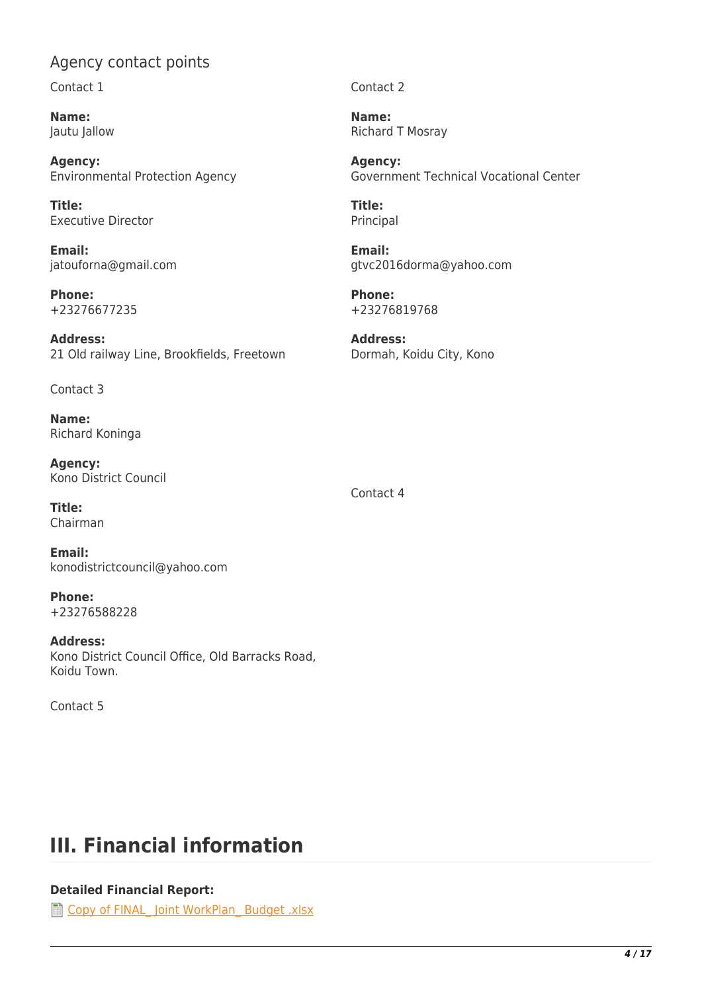### Agency contact points

Contact 1

**Name:**  Jautu Jallow

**Agency:**  Environmental Protection Agency

**Title:**  Executive Director

**Email:**  jatouforna@gmail.com

**Phone:**  +23276677235

**Address:**  21 Old railway Line, Brookfields, Freetown

Contact 3

**Name:**  Richard Koninga

**Agency:**  Kono District Council

**Title:**  Chairman

**Email:**  konodistrictcouncil@yahoo.com

**Phone:**  +23276588228

**Address:**  Kono District Council Office, Old Barracks Road, Koidu Town.

Contact 5

#### Contact 2

**Name:**  Richard T Mosray

**Agency:**  Government Technical Vocational Center

**Title:**  Principal

**Email:**  gtvc2016dorma@yahoo.com

**Phone:**  +23276819768

**Address:**  Dormah, Koidu City, Kono

Contact 4

# **III. Financial information**

#### **Detailed Financial Report:**

The Copy of FINAL Joint WorkPlan Budget .xlsx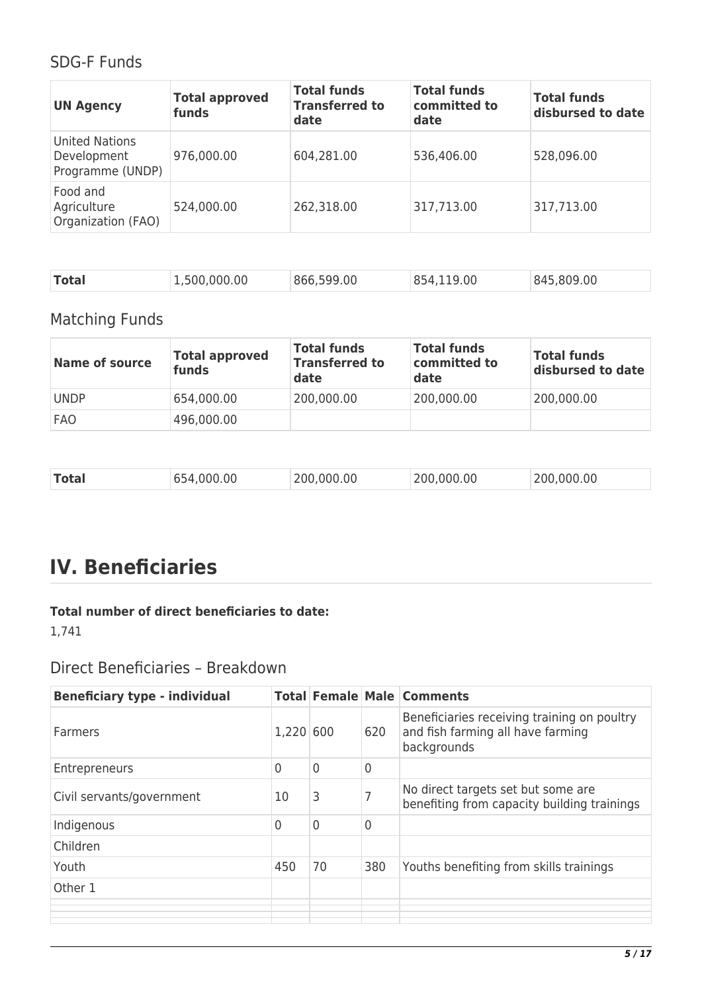### SDG-F Funds

| <b>UN Agency</b>                                  | <b>Total approved</b><br>funds | <b>Total funds</b><br><b>Transferred to</b><br>date | <b>Total funds</b><br>committed to<br>date | <b>Total funds</b><br>disbursed to date |
|---------------------------------------------------|--------------------------------|-----------------------------------------------------|--------------------------------------------|-----------------------------------------|
| United Nations<br>Development<br>Programme (UNDP) | 976,000.00                     | 604,281.00                                          | 536,406.00                                 | 528,096.00                              |
| Food and<br>Agriculture<br>Organization (FAO)     | 524,000.00                     | 262,318.00                                          | 317,713.00                                 | 317,713.00                              |

| <b>Total</b><br>854,119.00<br>845,809,00<br>.,500,000.00<br>866,599,00 |  |
|------------------------------------------------------------------------|--|
|------------------------------------------------------------------------|--|

## Matching Funds

| <b>Name of source</b> | <b>Total approved</b><br>funds | <b>Total funds</b><br><b>Transferred to</b><br>date | <b>Total funds</b><br>committed to<br>date | <b>Total funds</b><br>disbursed to date |
|-----------------------|--------------------------------|-----------------------------------------------------|--------------------------------------------|-----------------------------------------|
| <b>UNDP</b>           | 654,000.00                     | 200,000.00                                          | 200,000.00                                 | 200,000.00                              |
| <b>FAO</b>            | 496,000.00                     |                                                     |                                            |                                         |

| 200,000.00<br>654,000.00<br>200,000.00<br>Total<br>200,000.00 |
|---------------------------------------------------------------|
|---------------------------------------------------------------|

# **IV. Beneficiaries**

#### **Total number of direct beneficiaries to date:**

1,741

### Direct Beneficiaries – Breakdown

| <b>Beneficiary type - individual</b> |           |    |                | <b>Total Female Male Comments</b>                                                               |
|--------------------------------------|-----------|----|----------------|-------------------------------------------------------------------------------------------------|
| <b>Farmers</b>                       | 1,220 600 |    | 620            | Beneficiaries receiving training on poultry<br>and fish farming all have farming<br>backgrounds |
| Entrepreneurs                        | 0         | 0  | $\overline{0}$ |                                                                                                 |
| Civil servants/government            | 10        | 3  |                | No direct targets set but some are<br>benefiting from capacity building trainings               |
| Indigenous                           | 0         | 0  | $\Omega$       |                                                                                                 |
| Children                             |           |    |                |                                                                                                 |
| Youth                                | 450       | 70 | 380            | Youths benefiting from skills trainings                                                         |
| Other 1                              |           |    |                |                                                                                                 |
|                                      |           |    |                |                                                                                                 |
|                                      |           |    |                |                                                                                                 |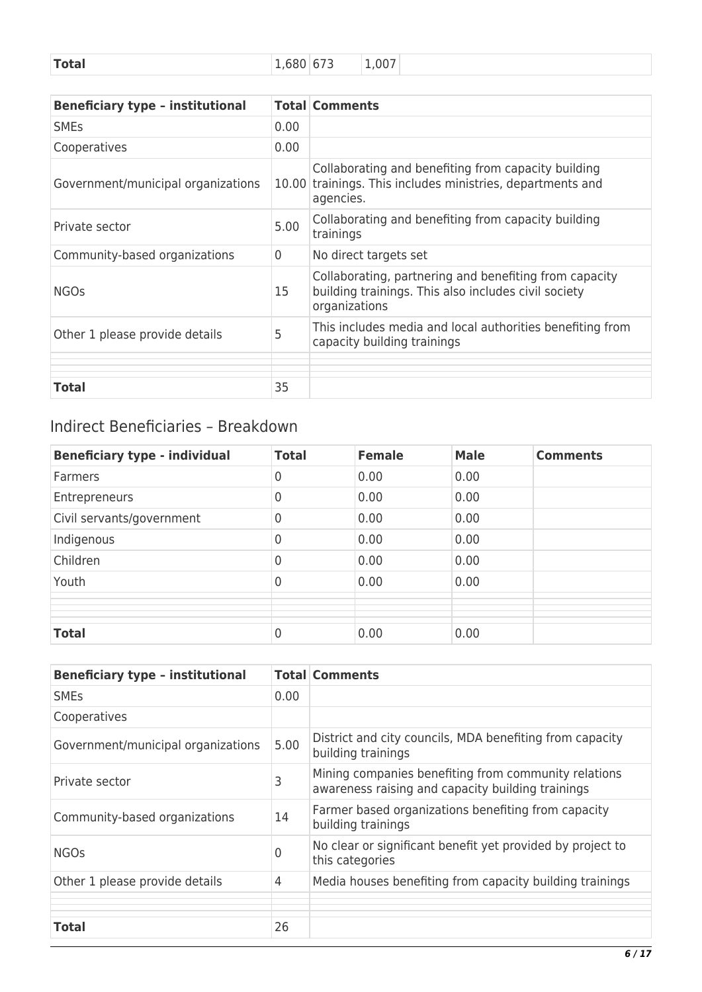| 1,007 |
|-------|
|-------|

| <b>Beneficiary type - institutional</b> |                | <b>Total Comments</b>                                                                                                           |
|-----------------------------------------|----------------|---------------------------------------------------------------------------------------------------------------------------------|
| <b>SME<sub>S</sub></b>                  | 0.00           |                                                                                                                                 |
| Cooperatives                            | 0.00           |                                                                                                                                 |
| Government/municipal organizations      | 10.00          | Collaborating and benefiting from capacity building<br>trainings. This includes ministries, departments and<br>agencies.        |
| Private sector                          | 5.00           | Collaborating and benefiting from capacity building<br>trainings                                                                |
| Community-based organizations           | $\overline{0}$ | No direct targets set                                                                                                           |
| <b>NGOs</b>                             | 15             | Collaborating, partnering and benefiting from capacity<br>building trainings. This also includes civil society<br>organizations |
| Other 1 please provide details          | 5              | This includes media and local authorities benefiting from<br>capacity building trainings                                        |
|                                         |                |                                                                                                                                 |
| <b>Total</b>                            | 35             |                                                                                                                                 |

## Indirect Beneficiaries – Breakdown

| <b>Beneficiary type - individual</b> | <b>Total</b> | <b>Female</b> | <b>Male</b> | <b>Comments</b> |
|--------------------------------------|--------------|---------------|-------------|-----------------|
| <b>Farmers</b>                       | 0            | 0.00          | 0.00        |                 |
| Entrepreneurs                        | 0            | 0.00          | 0.00        |                 |
| Civil servants/government            | 0            | 0.00          | 0.00        |                 |
| Indigenous                           | 0            | 0.00          | 0.00        |                 |
| Children                             | 0            | 0.00          | 0.00        |                 |
| Youth                                | 0            | 0.00          | 0.00        |                 |
|                                      |              |               |             |                 |
|                                      |              |               |             |                 |
| <b>Total</b>                         | 0            | 0.00          | 0.00        |                 |

| <b>Beneficiary type - institutional</b> |                | <b>Total Comments</b>                                                                                     |
|-----------------------------------------|----------------|-----------------------------------------------------------------------------------------------------------|
| <b>SME<sub>S</sub></b>                  | 0.00           |                                                                                                           |
| Cooperatives                            |                |                                                                                                           |
| Government/municipal organizations      | 5.00           | District and city councils, MDA benefiting from capacity<br>building trainings                            |
| Private sector                          | 3              | Mining companies benefiting from community relations<br>awareness raising and capacity building trainings |
| Community-based organizations           | 14             | Farmer based organizations benefiting from capacity<br>building trainings                                 |
| <b>NGOs</b>                             | 0              | No clear or significant benefit yet provided by project to<br>this categories                             |
| Other 1 please provide details          | $\overline{4}$ | Media houses benefiting from capacity building trainings                                                  |
|                                         |                |                                                                                                           |
| <b>Total</b>                            | 26             |                                                                                                           |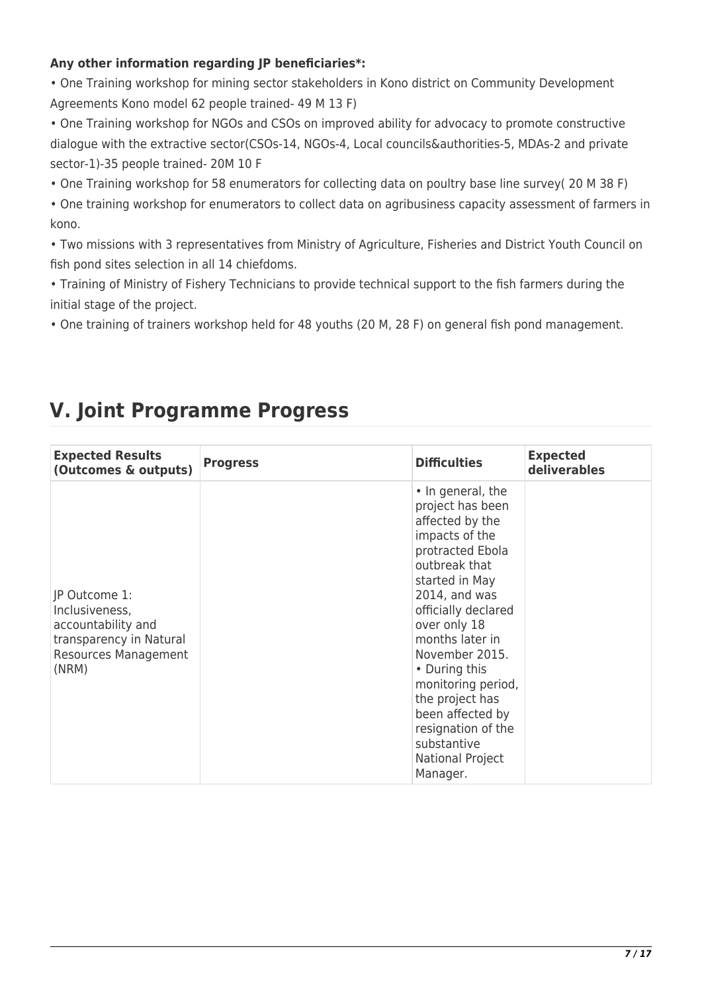#### **Any other information regarding JP beneficiaries\*:**

• One Training workshop for mining sector stakeholders in Kono district on Community Development Agreements Kono model 62 people trained- 49 M 13 F)

• One Training workshop for NGOs and CSOs on improved ability for advocacy to promote constructive dialogue with the extractive sector(CSOs-14, NGOs-4, Local councils&authorities-5, MDAs-2 and private sector-1)-35 people trained- 20M 10 F

• One Training workshop for 58 enumerators for collecting data on poultry base line survey( 20 M 38 F)

• One training workshop for enumerators to collect data on agribusiness capacity assessment of farmers in kono.

• Two missions with 3 representatives from Ministry of Agriculture, Fisheries and District Youth Council on fish pond sites selection in all 14 chiefdoms.

• Training of Ministry of Fishery Technicians to provide technical support to the fish farmers during the initial stage of the project.

• One training of trainers workshop held for 48 youths (20 M, 28 F) on general fish pond management.

## **V. Joint Programme Progress**

| <b>Expected Results</b><br>(Outcomes & outputs)                                                                          | <b>Progress</b> | <b>Difficulties</b>                                                                                                                                                                                                                                                                                                                                                                  | <b>Expected</b><br>deliverables |
|--------------------------------------------------------------------------------------------------------------------------|-----------------|--------------------------------------------------------------------------------------------------------------------------------------------------------------------------------------------------------------------------------------------------------------------------------------------------------------------------------------------------------------------------------------|---------------------------------|
| JP Outcome 1:<br>Inclusiveness,<br>accountability and<br>transparency in Natural<br><b>Resources Management</b><br>(NRM) |                 | • In general, the<br>project has been<br>affected by the<br>impacts of the<br>protracted Ebola<br>outbreak that<br>started in May<br>$2014$ , and was<br>officially declared<br>over only 18<br>months later in<br>November 2015.<br>• During this<br>monitoring period,<br>the project has<br>been affected by<br>resignation of the<br>substantive<br>National Project<br>Manager. |                                 |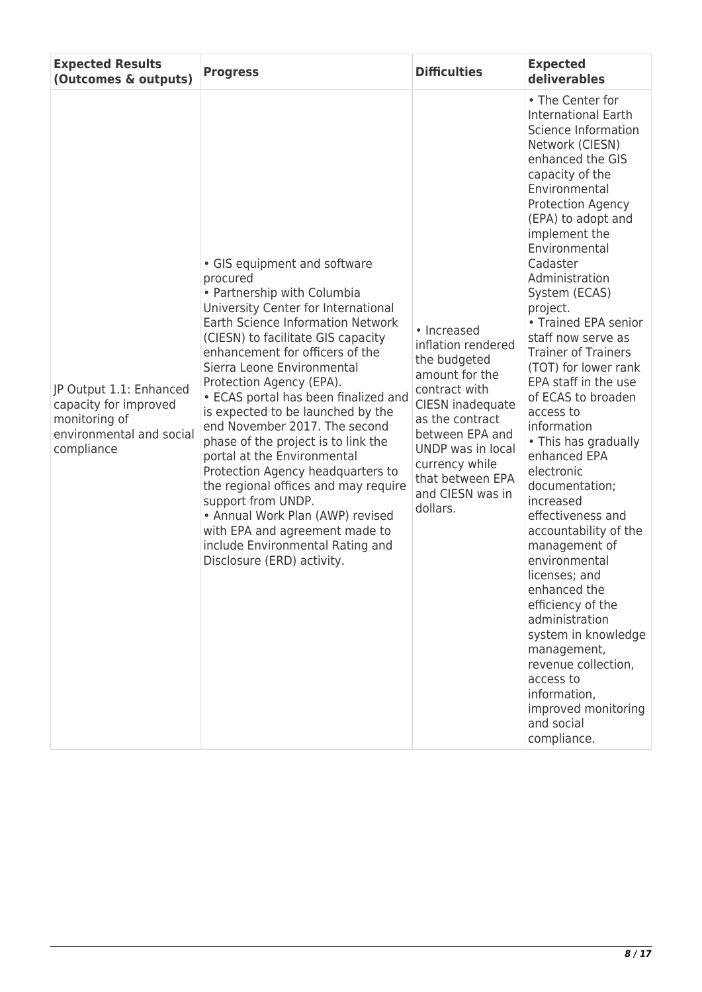| <b>Expected Results</b><br>(Outcomes & outputs)                                                             | <b>Progress</b>                                                                                                                                                                                                                                                                                                                                                                                                                                                                                                                                                                                                                                                                                                       | <b>Difficulties</b>                                                                                                                                                                                                                       | <b>Expected</b><br>deliverables                                                                                                                                                                                                                                                                                                                                                                                                                                                                                                                                                                                                                                                                                                                                                                                                                                          |
|-------------------------------------------------------------------------------------------------------------|-----------------------------------------------------------------------------------------------------------------------------------------------------------------------------------------------------------------------------------------------------------------------------------------------------------------------------------------------------------------------------------------------------------------------------------------------------------------------------------------------------------------------------------------------------------------------------------------------------------------------------------------------------------------------------------------------------------------------|-------------------------------------------------------------------------------------------------------------------------------------------------------------------------------------------------------------------------------------------|--------------------------------------------------------------------------------------------------------------------------------------------------------------------------------------------------------------------------------------------------------------------------------------------------------------------------------------------------------------------------------------------------------------------------------------------------------------------------------------------------------------------------------------------------------------------------------------------------------------------------------------------------------------------------------------------------------------------------------------------------------------------------------------------------------------------------------------------------------------------------|
| JP Output 1.1: Enhanced<br>capacity for improved<br>monitoring of<br>environmental and social<br>compliance | • GIS equipment and software<br>procured<br>• Partnership with Columbia<br>University Center for International<br>Earth Science Information Network<br>(CIESN) to facilitate GIS capacity<br>enhancement for officers of the<br>Sierra Leone Environmental<br>Protection Agency (EPA).<br>• ECAS portal has been finalized and<br>is expected to be launched by the<br>end November 2017. The second<br>phase of the project is to link the<br>portal at the Environmental<br>Protection Agency headquarters to<br>the regional offices and may require<br>support from UNDP.<br>• Annual Work Plan (AWP) revised<br>with EPA and agreement made to<br>include Environmental Rating and<br>Disclosure (ERD) activity. | • Increased<br>inflation rendered<br>the budgeted<br>amount for the<br>contract with<br>CIESN inadequate<br>as the contract<br>between EPA and<br>UNDP was in local<br>currency while<br>that between EPA<br>and CIESN was in<br>dollars. | • The Center for<br><b>International Earth</b><br>Science Information<br>Network (CIESN)<br>enhanced the GIS<br>capacity of the<br>Environmental<br><b>Protection Agency</b><br>(EPA) to adopt and<br>implement the<br>Environmental<br>Cadaster<br>Administration<br>System (ECAS)<br>project.<br>• Trained EPA senior<br>staff now serve as<br><b>Trainer of Trainers</b><br>(TOT) for lower rank<br>EPA staff in the use<br>of ECAS to broaden<br>access to<br>information<br>• This has gradually<br>enhanced EPA<br>electronic<br>documentation;<br>increased<br>effectiveness and<br>accountability of the<br>management of<br>environmental<br>licenses; and<br>enhanced the<br>efficiency of the<br>administration<br>system in knowledge<br>management,<br>revenue collection,<br>access to<br>information,<br>improved monitoring<br>and social<br>compliance. |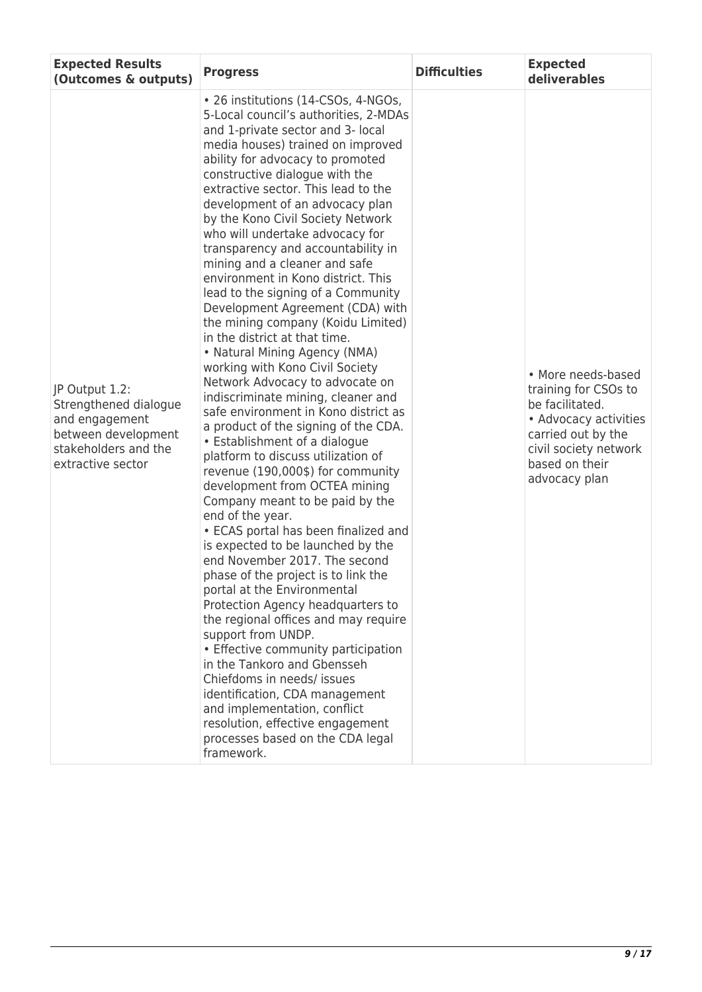| <b>Expected Results</b><br>(Outcomes & outputs)                                                                               | <b>Progress</b>                                                                                                                                                                                                                                                                                                                                                                                                                                                                                                                                                                                                                                                                                                                                                                                                                                                                                                                                                                                                                                                                                                                                                                                                                                                                                                                                                                                                                                                                                                                                                                                                                  | <b>Difficulties</b> | <b>Expected</b><br>deliverables                                                                                                                                          |
|-------------------------------------------------------------------------------------------------------------------------------|----------------------------------------------------------------------------------------------------------------------------------------------------------------------------------------------------------------------------------------------------------------------------------------------------------------------------------------------------------------------------------------------------------------------------------------------------------------------------------------------------------------------------------------------------------------------------------------------------------------------------------------------------------------------------------------------------------------------------------------------------------------------------------------------------------------------------------------------------------------------------------------------------------------------------------------------------------------------------------------------------------------------------------------------------------------------------------------------------------------------------------------------------------------------------------------------------------------------------------------------------------------------------------------------------------------------------------------------------------------------------------------------------------------------------------------------------------------------------------------------------------------------------------------------------------------------------------------------------------------------------------|---------------------|--------------------------------------------------------------------------------------------------------------------------------------------------------------------------|
| JP Output 1.2:<br>Strengthened dialogue<br>and engagement<br>between development<br>stakeholders and the<br>extractive sector | • 26 institutions (14-CSOs, 4-NGOs,<br>5-Local council's authorities, 2-MDAs<br>and 1-private sector and 3- local<br>media houses) trained on improved<br>ability for advocacy to promoted<br>constructive dialogue with the<br>extractive sector. This lead to the<br>development of an advocacy plan<br>by the Kono Civil Society Network<br>who will undertake advocacy for<br>transparency and accountability in<br>mining and a cleaner and safe<br>environment in Kono district. This<br>lead to the signing of a Community<br>Development Agreement (CDA) with<br>the mining company (Koidu Limited)<br>in the district at that time.<br>• Natural Mining Agency (NMA)<br>working with Kono Civil Society<br>Network Advocacy to advocate on<br>indiscriminate mining, cleaner and<br>safe environment in Kono district as<br>a product of the signing of the CDA.<br>• Establishment of a dialogue<br>platform to discuss utilization of<br>revenue (190,000\$) for community<br>development from OCTEA mining<br>Company meant to be paid by the<br>end of the year.<br>• ECAS portal has been finalized and<br>is expected to be launched by the<br>end November 2017. The second<br>phase of the project is to link the<br>portal at the Environmental<br>Protection Agency headquarters to<br>the regional offices and may require<br>support from UNDP.<br>• Effective community participation<br>in the Tankoro and Gbensseh<br>Chiefdoms in needs/ issues<br>identification, CDA management<br>and implementation, conflict<br>resolution, effective engagement<br>processes based on the CDA legal<br>framework. |                     | • More needs-based<br>training for CSOs to<br>be facilitated.<br>• Advocacy activities<br>carried out by the<br>civil society network<br>based on their<br>advocacy plan |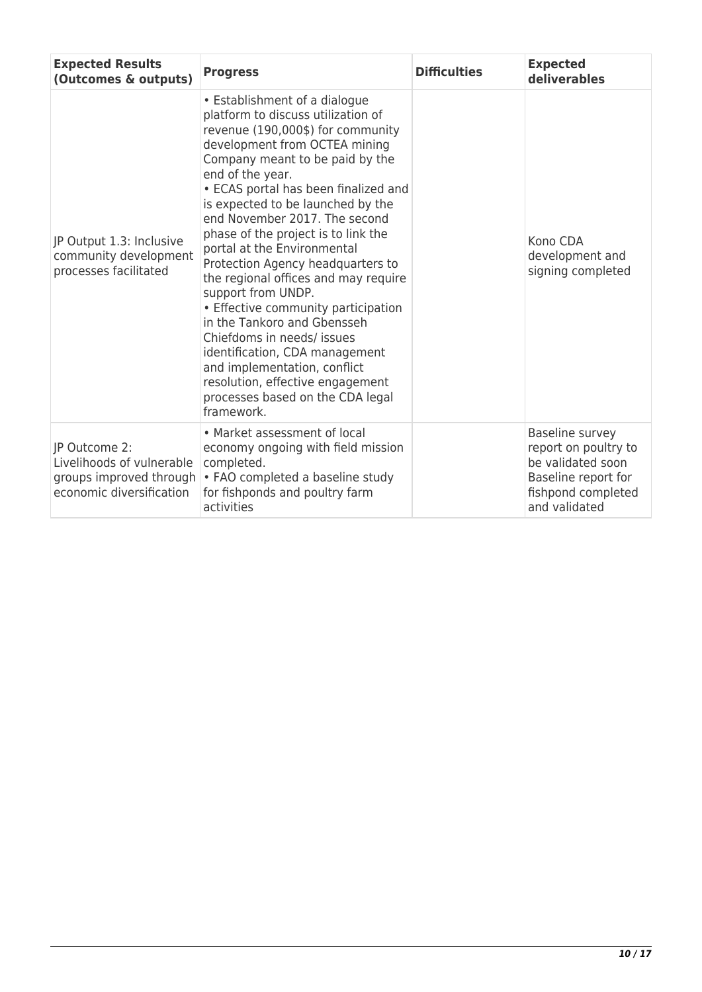| <b>Expected Results</b><br>(Outcomes & outputs)                                                   | <b>Progress</b>                                                                                                                                                                                                                                                                                                                                                                                                                                                                                                                                                                                                                                                                                                                                     | <b>Difficulties</b> | <b>Expected</b><br>deliverables                                                                                            |
|---------------------------------------------------------------------------------------------------|-----------------------------------------------------------------------------------------------------------------------------------------------------------------------------------------------------------------------------------------------------------------------------------------------------------------------------------------------------------------------------------------------------------------------------------------------------------------------------------------------------------------------------------------------------------------------------------------------------------------------------------------------------------------------------------------------------------------------------------------------------|---------------------|----------------------------------------------------------------------------------------------------------------------------|
| JP Output 1.3: Inclusive<br>community development<br>processes facilitated                        | • Establishment of a dialogue<br>platform to discuss utilization of<br>revenue (190,000\$) for community<br>development from OCTEA mining<br>Company meant to be paid by the<br>end of the year.<br>• ECAS portal has been finalized and<br>is expected to be launched by the<br>end November 2017. The second<br>phase of the project is to link the<br>portal at the Environmental<br>Protection Agency headquarters to<br>the regional offices and may require<br>support from UNDP.<br>• Effective community participation<br>in the Tankoro and Gbensseh<br>Chiefdoms in needs/ issues<br>identification, CDA management<br>and implementation, conflict<br>resolution, effective engagement<br>processes based on the CDA legal<br>framework. |                     | Kono CDA<br>development and<br>signing completed                                                                           |
| JP Outcome 2:<br>Livelihoods of vulnerable<br>groups improved through<br>economic diversification | • Market assessment of local<br>economy ongoing with field mission<br>completed.<br>• FAO completed a baseline study<br>for fishponds and poultry farm<br>activities                                                                                                                                                                                                                                                                                                                                                                                                                                                                                                                                                                                |                     | Baseline survey<br>report on poultry to<br>be validated soon<br>Baseline report for<br>fishpond completed<br>and validated |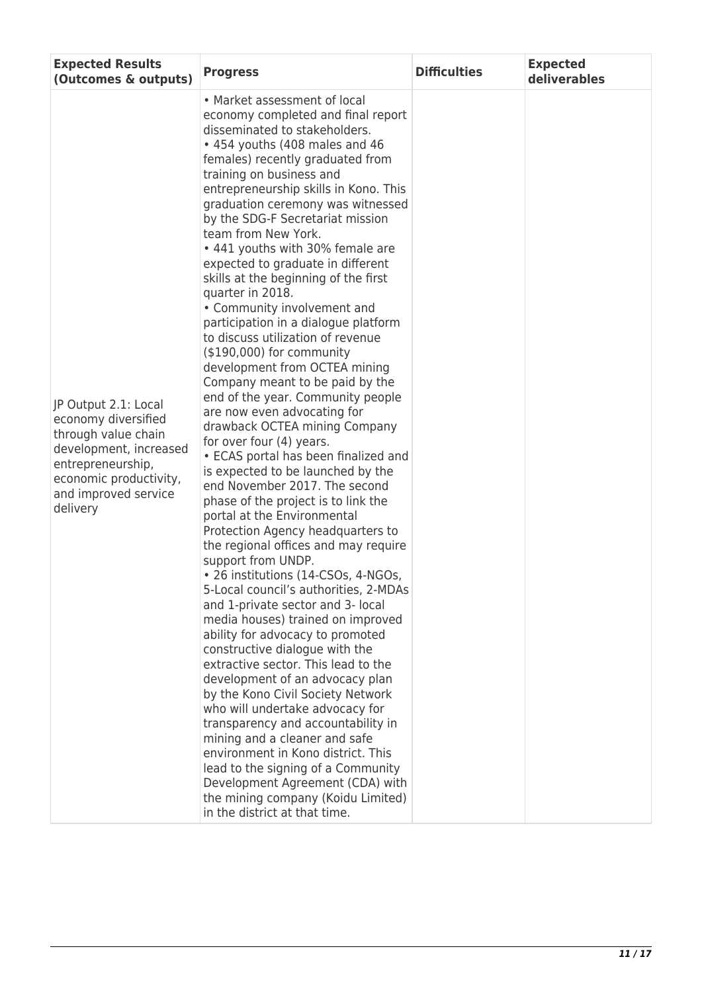| <b>Expected Results</b><br>(Outcomes & outputs)                                                                                                                                 | <b>Progress</b>                                                                                                                                                                                                                                                                                                                                                                                                                                                                                                                                                                                                                                                                                                                                                                                                                                                                                                                                                                                                                                                                                                                                                                                                                                                                                                                                                                                                                                                                                                                                                                                                                                                                                                                                                           | <b>Difficulties</b> | <b>Expected</b><br>deliverables |
|---------------------------------------------------------------------------------------------------------------------------------------------------------------------------------|---------------------------------------------------------------------------------------------------------------------------------------------------------------------------------------------------------------------------------------------------------------------------------------------------------------------------------------------------------------------------------------------------------------------------------------------------------------------------------------------------------------------------------------------------------------------------------------------------------------------------------------------------------------------------------------------------------------------------------------------------------------------------------------------------------------------------------------------------------------------------------------------------------------------------------------------------------------------------------------------------------------------------------------------------------------------------------------------------------------------------------------------------------------------------------------------------------------------------------------------------------------------------------------------------------------------------------------------------------------------------------------------------------------------------------------------------------------------------------------------------------------------------------------------------------------------------------------------------------------------------------------------------------------------------------------------------------------------------------------------------------------------------|---------------------|---------------------------------|
| JP Output 2.1: Local<br>economy diversified<br>through value chain<br>development, increased<br>entrepreneurship,<br>economic productivity,<br>and improved service<br>delivery | • Market assessment of local<br>economy completed and final report<br>disseminated to stakeholders.<br>• 454 youths (408 males and 46<br>females) recently graduated from<br>training on business and<br>entrepreneurship skills in Kono. This<br>graduation ceremony was witnessed<br>by the SDG-F Secretariat mission<br>team from New York.<br>• 441 youths with 30% female are<br>expected to graduate in different<br>skills at the beginning of the first<br>quarter in 2018.<br>• Community involvement and<br>participation in a dialogue platform<br>to discuss utilization of revenue<br>$($190,000)$ for community<br>development from OCTEA mining<br>Company meant to be paid by the<br>end of the year. Community people<br>are now even advocating for<br>drawback OCTEA mining Company<br>for over four (4) years.<br>• ECAS portal has been finalized and<br>is expected to be launched by the<br>end November 2017. The second<br>phase of the project is to link the<br>portal at the Environmental<br>Protection Agency headquarters to<br>the regional offices and may require<br>support from UNDP.<br>• 26 institutions (14-CSOs, 4-NGOs,<br>5-Local council's authorities, 2-MDAs<br>and 1-private sector and 3- local<br>media houses) trained on improved<br>ability for advocacy to promoted<br>constructive dialogue with the<br>extractive sector. This lead to the<br>development of an advocacy plan<br>by the Kono Civil Society Network<br>who will undertake advocacy for<br>transparency and accountability in<br>mining and a cleaner and safe<br>environment in Kono district. This<br>lead to the signing of a Community<br>Development Agreement (CDA) with<br>the mining company (Koidu Limited)<br>in the district at that time. |                     |                                 |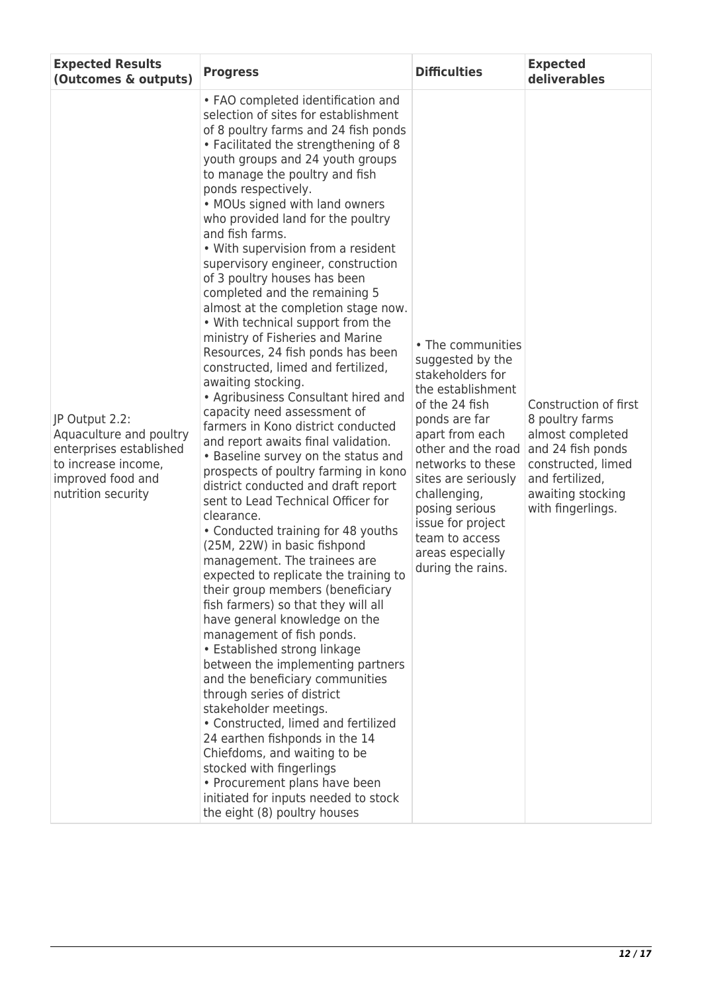| <b>Expected Results</b><br>(Outcomes & outputs)                                                                                        | <b>Progress</b>                                                                                                                                                                                                                                                                                                                                                                                                                                                                                                                                                                                                                                                                                                                                                                                                                                                                                                                                                                                                                                                                                                                                                                                                                                                                                                                                                                                                                                                                                                                                                                                                                                                                                                                                   | <b>Difficulties</b>                                                                                                                                                                                                                                                                                                      | <b>Expected</b><br>deliverables                                                                                                                                      |
|----------------------------------------------------------------------------------------------------------------------------------------|---------------------------------------------------------------------------------------------------------------------------------------------------------------------------------------------------------------------------------------------------------------------------------------------------------------------------------------------------------------------------------------------------------------------------------------------------------------------------------------------------------------------------------------------------------------------------------------------------------------------------------------------------------------------------------------------------------------------------------------------------------------------------------------------------------------------------------------------------------------------------------------------------------------------------------------------------------------------------------------------------------------------------------------------------------------------------------------------------------------------------------------------------------------------------------------------------------------------------------------------------------------------------------------------------------------------------------------------------------------------------------------------------------------------------------------------------------------------------------------------------------------------------------------------------------------------------------------------------------------------------------------------------------------------------------------------------------------------------------------------------|--------------------------------------------------------------------------------------------------------------------------------------------------------------------------------------------------------------------------------------------------------------------------------------------------------------------------|----------------------------------------------------------------------------------------------------------------------------------------------------------------------|
| JP Output 2.2:<br>Aquaculture and poultry<br>enterprises established<br>to increase income,<br>improved food and<br>nutrition security | • FAO completed identification and<br>selection of sites for establishment<br>of 8 poultry farms and 24 fish ponds<br>• Facilitated the strengthening of 8<br>youth groups and 24 youth groups<br>to manage the poultry and fish<br>ponds respectively.<br>• MOUs signed with land owners<br>who provided land for the poultry<br>and fish farms.<br>• With supervision from a resident<br>supervisory engineer, construction<br>of 3 poultry houses has been<br>completed and the remaining 5<br>almost at the completion stage now.<br>. With technical support from the<br>ministry of Fisheries and Marine<br>Resources, 24 fish ponds has been<br>constructed, limed and fertilized,<br>awaiting stocking.<br>• Agribusiness Consultant hired and<br>capacity need assessment of<br>farmers in Kono district conducted<br>and report awaits final validation.<br>• Baseline survey on the status and<br>prospects of poultry farming in kono<br>district conducted and draft report<br>sent to Lead Technical Officer for<br>clearance.<br>• Conducted training for 48 youths<br>(25M, 22W) in basic fishpond<br>management. The trainees are<br>expected to replicate the training to<br>their group members (beneficiary<br>fish farmers) so that they will all<br>have general knowledge on the<br>management of fish ponds.<br>• Established strong linkage<br>between the implementing partners<br>and the beneficiary communities<br>through series of district<br>stakeholder meetings.<br>• Constructed, limed and fertilized<br>24 earthen fishponds in the 14<br>Chiefdoms, and waiting to be<br>stocked with fingerlings<br>• Procurement plans have been<br>initiated for inputs needed to stock<br>the eight (8) poultry houses | • The communities<br>suggested by the<br>stakeholders for<br>the establishment<br>of the 24 fish<br>ponds are far<br>apart from each<br>other and the road<br>networks to these<br>sites are seriously<br>challenging,<br>posing serious<br>issue for project<br>team to access<br>areas especially<br>during the rains. | Construction of first<br>8 poultry farms<br>almost completed<br>and 24 fish ponds<br>constructed, limed<br>and fertilized,<br>awaiting stocking<br>with fingerlings. |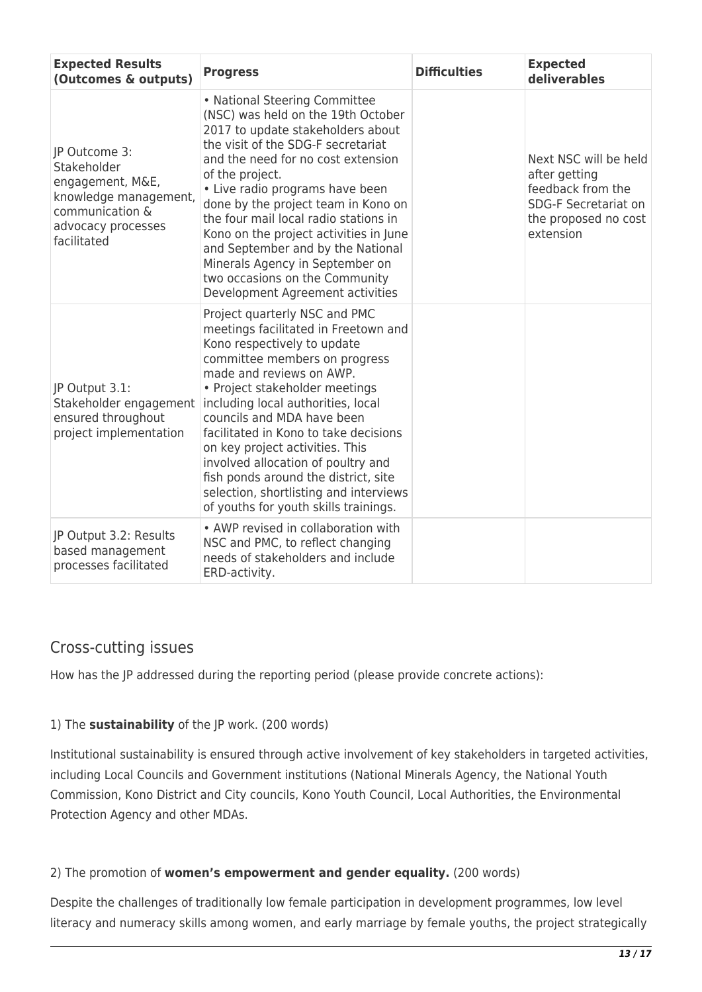| <b>Expected Results</b><br>(Outcomes & outputs)                                                                                   | <b>Progress</b>                                                                                                                                                                                                                                                                                                                                                                                                                                                                                                      | <b>Difficulties</b> | <b>Expected</b><br>deliverables                                                                                                 |
|-----------------------------------------------------------------------------------------------------------------------------------|----------------------------------------------------------------------------------------------------------------------------------------------------------------------------------------------------------------------------------------------------------------------------------------------------------------------------------------------------------------------------------------------------------------------------------------------------------------------------------------------------------------------|---------------------|---------------------------------------------------------------------------------------------------------------------------------|
| JP Outcome 3:<br>Stakeholder<br>engagement, M&E,<br>knowledge management,<br>communication &<br>advocacy processes<br>facilitated | • National Steering Committee<br>(NSC) was held on the 19th October<br>2017 to update stakeholders about<br>the visit of the SDG-F secretariat<br>and the need for no cost extension<br>of the project.<br>• Live radio programs have been<br>done by the project team in Kono on<br>the four mail local radio stations in<br>Kono on the project activities in June<br>and September and by the National<br>Minerals Agency in September on<br>two occasions on the Community<br>Development Agreement activities   |                     | Next NSC will be held<br>after getting<br>feedback from the<br><b>SDG-F Secretariat on</b><br>the proposed no cost<br>extension |
| JP Output 3.1:<br>Stakeholder engagement<br>ensured throughout<br>project implementation                                          | Project quarterly NSC and PMC<br>meetings facilitated in Freetown and<br>Kono respectively to update<br>committee members on progress<br>made and reviews on AWP.<br>• Project stakeholder meetings<br>including local authorities, local<br>councils and MDA have been<br>facilitated in Kono to take decisions<br>on key project activities. This<br>involved allocation of poultry and<br>fish ponds around the district, site<br>selection, shortlisting and interviews<br>of youths for youth skills trainings. |                     |                                                                                                                                 |
| JP Output 3.2: Results<br>based management<br>processes facilitated                                                               | • AWP revised in collaboration with<br>NSC and PMC, to reflect changing<br>needs of stakeholders and include<br>ERD-activity.                                                                                                                                                                                                                                                                                                                                                                                        |                     |                                                                                                                                 |

#### Cross-cutting issues

How has the JP addressed during the reporting period (please provide concrete actions):

#### 1) The **sustainability** of the JP work. (200 words)

Institutional sustainability is ensured through active involvement of key stakeholders in targeted activities, including Local Councils and Government institutions (National Minerals Agency, the National Youth Commission, Kono District and City councils, Kono Youth Council, Local Authorities, the Environmental Protection Agency and other MDAs.

#### 2) The promotion of **women's empowerment and gender equality.** (200 words)

Despite the challenges of traditionally low female participation in development programmes, low level literacy and numeracy skills among women, and early marriage by female youths, the project strategically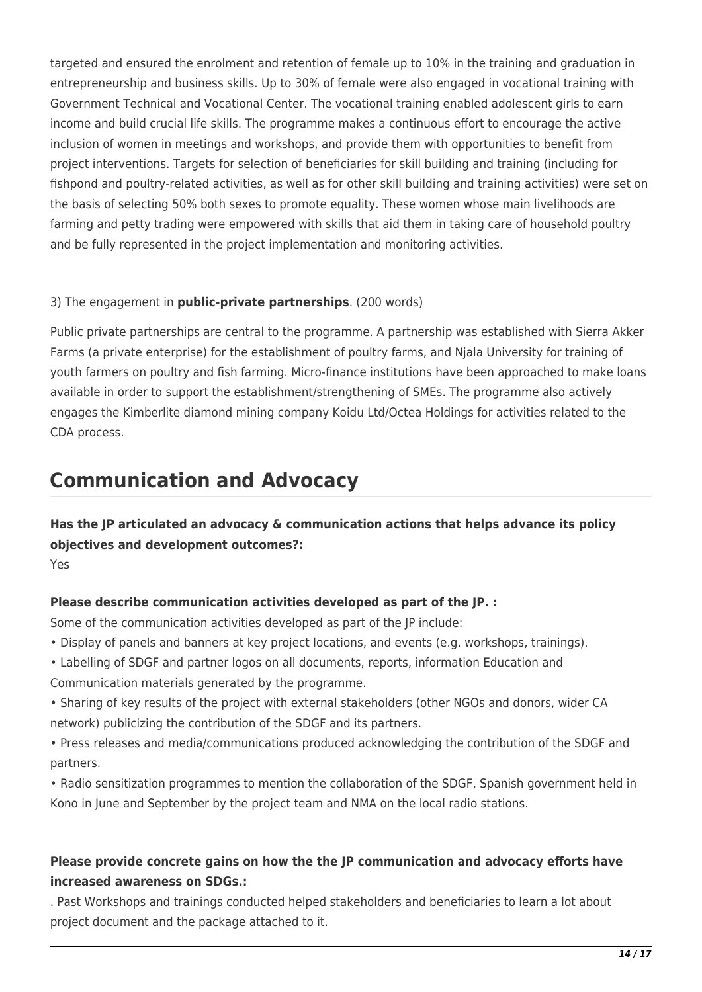targeted and ensured the enrolment and retention of female up to 10% in the training and graduation in entrepreneurship and business skills. Up to 30% of female were also engaged in vocational training with Government Technical and Vocational Center. The vocational training enabled adolescent girls to earn income and build crucial life skills. The programme makes a continuous effort to encourage the active inclusion of women in meetings and workshops, and provide them with opportunities to benefit from project interventions. Targets for selection of beneficiaries for skill building and training (including for fishpond and poultry-related activities, as well as for other skill building and training activities) were set on the basis of selecting 50% both sexes to promote equality. These women whose main livelihoods are farming and petty trading were empowered with skills that aid them in taking care of household poultry and be fully represented in the project implementation and monitoring activities.

#### 3) The engagement in **public-private partnerships**. (200 words)

Public private partnerships are central to the programme. A partnership was established with Sierra Akker Farms (a private enterprise) for the establishment of poultry farms, and Njala University for training of youth farmers on poultry and fish farming. Micro-finance institutions have been approached to make loans available in order to support the establishment/strengthening of SMEs. The programme also actively engages the Kimberlite diamond mining company Koidu Ltd/Octea Holdings for activities related to the CDA process.

## **Communication and Advocacy**

**Has the JP articulated an advocacy & communication actions that helps advance its policy objectives and development outcomes?:** 

Yes

#### **Please describe communication activities developed as part of the JP. :**

Some of the communication activities developed as part of the JP include:

- Display of panels and banners at key project locations, and events (e.g. workshops, trainings).
- Labelling of SDGF and partner logos on all documents, reports, information Education and
- Communication materials generated by the programme.
- Sharing of key results of the project with external stakeholders (other NGOs and donors, wider CA network) publicizing the contribution of the SDGF and its partners.
- Press releases and media/communications produced acknowledging the contribution of the SDGF and partners.
- Radio sensitization programmes to mention the collaboration of the SDGF, Spanish government held in Kono in June and September by the project team and NMA on the local radio stations.

#### **Please provide concrete gains on how the the JP communication and advocacy efforts have increased awareness on SDGs.:**

. Past Workshops and trainings conducted helped stakeholders and beneficiaries to learn a lot about project document and the package attached to it.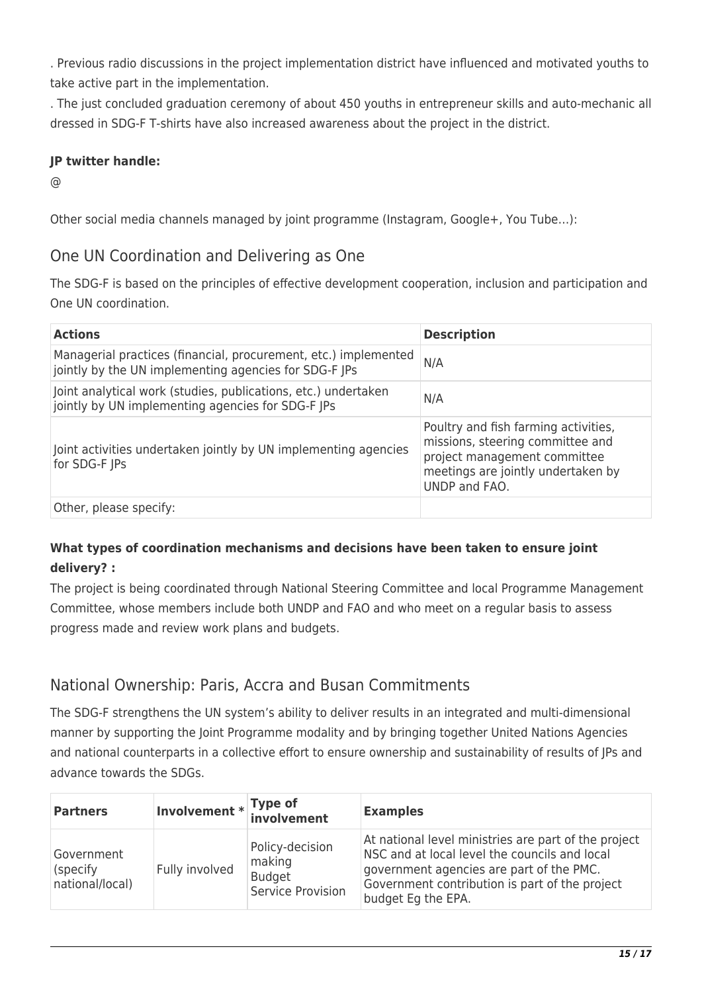. Previous radio discussions in the project implementation district have influenced and motivated youths to take active part in the implementation.

. The just concluded graduation ceremony of about 450 youths in entrepreneur skills and auto-mechanic all dressed in SDG-F T-shirts have also increased awareness about the project in the district.

#### **JP twitter handle:**

@

Other social media channels managed by joint programme (Instagram, Google+, You Tube…):

#### One UN Coordination and Delivering as One

The SDG-F is based on the principles of effective development cooperation, inclusion and participation and One UN coordination.

| <b>Actions</b>                                                                                                           | <b>Description</b>                                                                                                                                              |
|--------------------------------------------------------------------------------------------------------------------------|-----------------------------------------------------------------------------------------------------------------------------------------------------------------|
| Managerial practices (financial, procurement, etc.) implemented<br>jointly by the UN implementing agencies for SDG-F JPs | N/A                                                                                                                                                             |
| Joint analytical work (studies, publications, etc.) undertaken<br>jointly by UN implementing agencies for SDG-F JPs      | N/A                                                                                                                                                             |
| Joint activities undertaken jointly by UN implementing agencies<br>for SDG-F JPs                                         | Poultry and fish farming activities,<br>missions, steering committee and<br>project management committee<br>meetings are jointly undertaken by<br>UNDP and FAO. |
| Other, please specify:                                                                                                   |                                                                                                                                                                 |

#### **What types of coordination mechanisms and decisions have been taken to ensure joint delivery? :**

The project is being coordinated through National Steering Committee and local Programme Management Committee, whose members include both UNDP and FAO and who meet on a regular basis to assess progress made and review work plans and budgets.

### National Ownership: Paris, Accra and Busan Commitments

The SDG-F strengthens the UN system's ability to deliver results in an integrated and multi-dimensional manner by supporting the Joint Programme modality and by bringing together United Nations Agencies and national counterparts in a collective effort to ensure ownership and sustainability of results of JPs and advance towards the SDGs.

| <b>Partners</b>                            | Involvement * Type of<br>involvement |                                                                 | <b>Examples</b>                                                                                                                                                                                                           |
|--------------------------------------------|--------------------------------------|-----------------------------------------------------------------|---------------------------------------------------------------------------------------------------------------------------------------------------------------------------------------------------------------------------|
| Government<br>(specify)<br>national/local) | Fully involved                       | Policy-decision<br>making<br><b>Budget</b><br>Service Provision | At national level ministries are part of the project<br>NSC and at local level the councils and local<br>government agencies are part of the PMC.<br>Government contribution is part of the project<br>budget Eg the EPA. |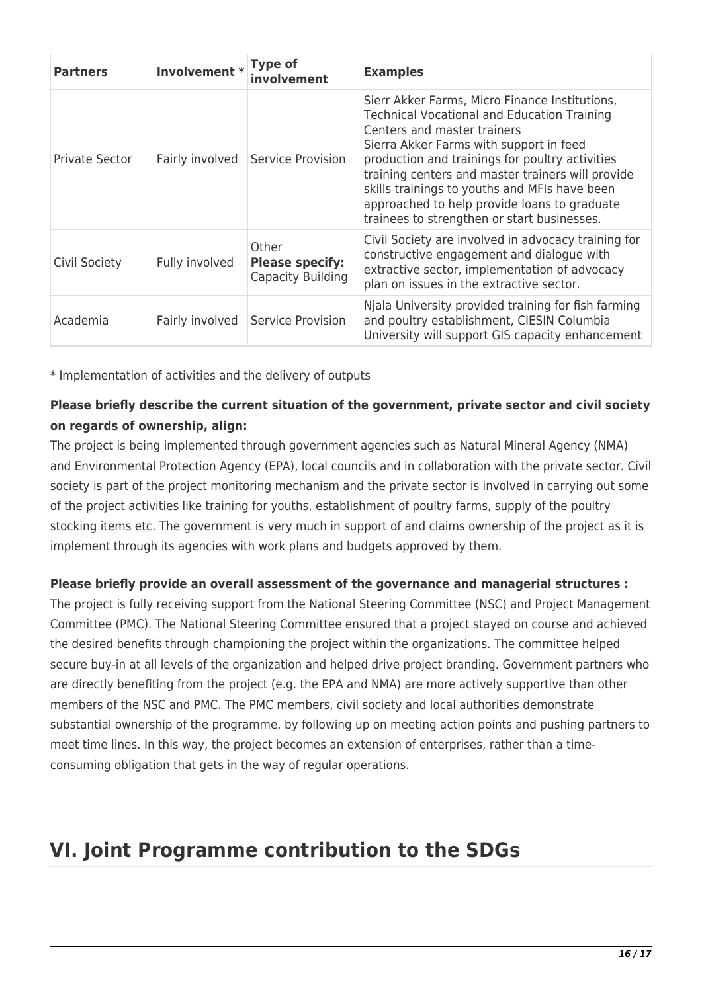| <b>Partners</b>       | Involvement *   | Type of<br>involvement                               | <b>Examples</b>                                                                                                                                                                                                                                                                                                                                                                                                                        |
|-----------------------|-----------------|------------------------------------------------------|----------------------------------------------------------------------------------------------------------------------------------------------------------------------------------------------------------------------------------------------------------------------------------------------------------------------------------------------------------------------------------------------------------------------------------------|
| <b>Private Sector</b> | Fairly involved | Service Provision                                    | Sierr Akker Farms, Micro Finance Institutions,<br><b>Technical Vocational and Education Training</b><br>Centers and master trainers<br>Sierra Akker Farms with support in feed<br>production and trainings for poultry activities<br>training centers and master trainers will provide<br>skills trainings to youths and MFIs have been<br>approached to help provide loans to graduate<br>trainees to strengthen or start businesses. |
| Civil Society         | Fully involved  | Other<br><b>Please specify:</b><br>Capacity Building | Civil Society are involved in advocacy training for<br>constructive engagement and dialogue with<br>extractive sector, implementation of advocacy<br>plan on issues in the extractive sector.                                                                                                                                                                                                                                          |
| Academia              | Fairly involved | Service Provision                                    | Njala University provided training for fish farming<br>and poultry establishment, CIESIN Columbia<br>University will support GIS capacity enhancement                                                                                                                                                                                                                                                                                  |

\* Implementation of activities and the delivery of outputs

#### **Please briefly describe the current situation of the government, private sector and civil society on regards of ownership, align:**

The project is being implemented through government agencies such as Natural Mineral Agency (NMA) and Environmental Protection Agency (EPA), local councils and in collaboration with the private sector. Civil society is part of the project monitoring mechanism and the private sector is involved in carrying out some of the project activities like training for youths, establishment of poultry farms, supply of the poultry stocking items etc. The government is very much in support of and claims ownership of the project as it is implement through its agencies with work plans and budgets approved by them.

#### **Please briefly provide an overall assessment of the governance and managerial structures :**

The project is fully receiving support from the National Steering Committee (NSC) and Project Management Committee (PMC). The National Steering Committee ensured that a project stayed on course and achieved the desired benefits through championing the project within the organizations. The committee helped secure buy-in at all levels of the organization and helped drive project branding. Government partners who are directly benefiting from the project (e.g. the EPA and NMA) are more actively supportive than other members of the NSC and PMC. The PMC members, civil society and local authorities demonstrate substantial ownership of the programme, by following up on meeting action points and pushing partners to meet time lines. In this way, the project becomes an extension of enterprises, rather than a timeconsuming obligation that gets in the way of regular operations.

## **VI. Joint Programme contribution to the SDGs**